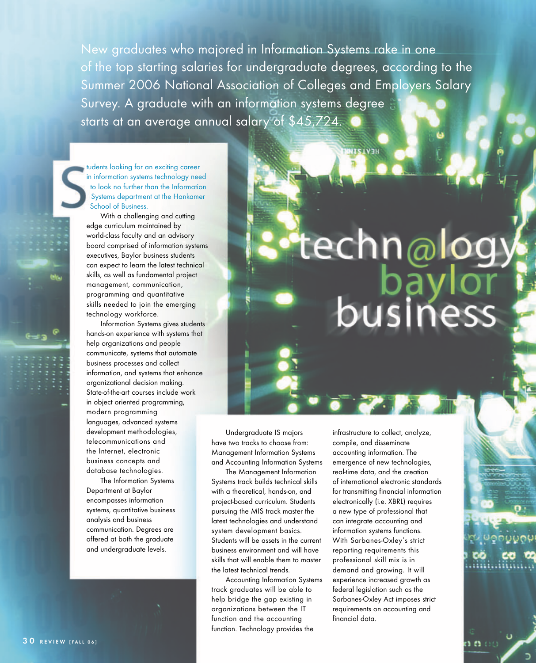New graduates who majored in Information Systems rake in one of the top starting salaries for undergraduate degrees, according to the Summer 2006 National Association of Colleges and Employers Salary Survey. A graduate with an information systems degree starts at an average annual salary of \$45,724.

tudents looking for an exciting career in information systems technology need to look no further than the Information Systems department at the Hankamer School of Business.

With a challenging and cutting edge curriculum maintained by world-class faculty and an advisory board comprised of information systems executives, Baylor business students can expect to learn the latest technical skills, as well as fundamental project management, communication, programming and quantitative skills needed to join the emerging technology workforce.

Information Systems gives students hands-on experience with systems that help organizations and people communicate, systems that automate business processes and collect information, and systems that enhance organizational decision making. State-of-the-art courses include work in object oriented programming, modern programming languages, advanced systems development methodologies, telecommunications and the Internet, electronic business concepts and database technologies.

The Information Systems Department at Baylor encompasses information systems, quantitative business analysis and business communication. Degrees are offered at both the graduate and undergraduate levels.

## techn@logy busine

**HEATSIN** 

Undergraduate IS majors have two tracks to choose from: Management Information Systems and Accounting Information Systems

The Management Information Systems track builds technical skills with a theoretical, hands-on, and project-based curriculum. Students pursuing the MIS track master the latest technologies and understand system development basics. Students will be assets in the current business environment and will have skills that will enable them to master the latest technical trends.

Accounting Information Systems track graduates will be able to help bridge the gap existing in organizations between the IT function and the accounting function. Technology provides the

infrastructure to collect, analyze, compile, and disseminate accounting information. The emergence of new technologies, real-time data, and the creation of international electronic standards for transmitting financial information electronically (i.e. XBRL) requires a new type of professional that can integrate accounting and information systems functions. With Sarbanes-Oxley's strict reporting requirements this professional skill mix is in demand and growing. It will experience increased growth as federal legislation such as the Sarbanes-Oxley Act imposes strict requirements on accounting and financial data.

n n oc